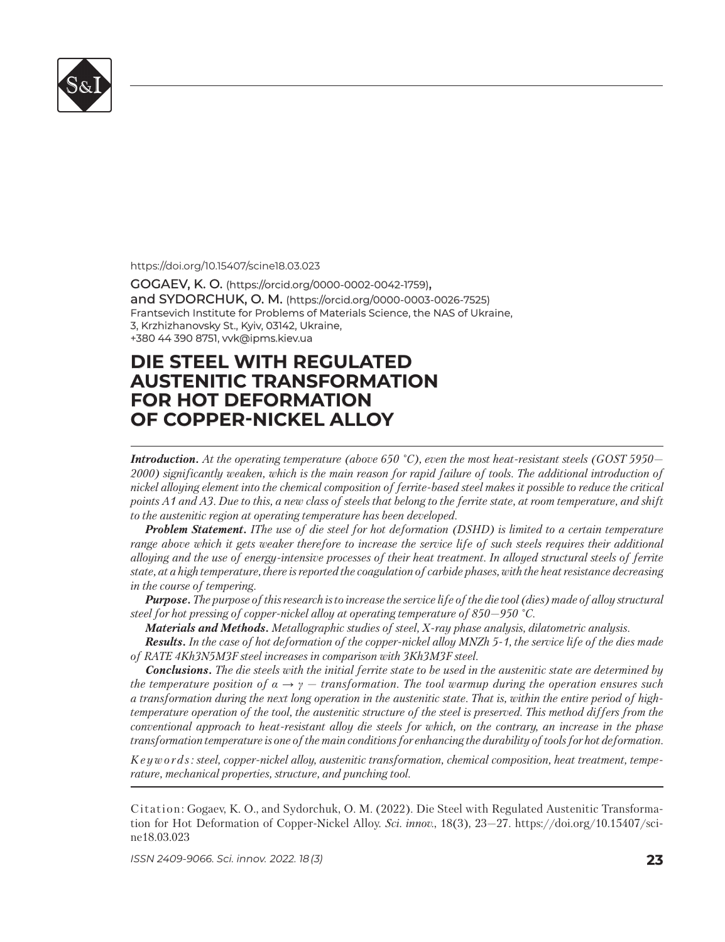

https://doi.org/10.15407/scine18.03.023

GOGAEV, K. O. (https://orcid.org/0000-0002-0042-1759), and SYDORCHUK, O. M. (https://orcid.org/0000-0003-0026-7525) Frantsevich Institute for Problems of Materials Science, the NAS of Ukraine, 3, Krzhizhanovsky St., Kyiv, 03142, Ukraine, +380 44 390 8751, vvk@ipms.kiev.ua 380 44 390 8751,

## **DIE STEEL WITH REGULATED IE STEEL WITH REGULATED AUSTENITIC TRANSFORMATION USTENITIC TRANSFORMATION FOR HOT DEFORMATION OR HOT DEFORMATION OF COPPER-NICKEL ALLOY**

*Introduction. At the operating temperature (above 650 °C), even the most heat-resistant steels (GOST 5950— 2000) significantly weaken, which is the main reason for rapid failure of tools. The additional introduction of nickel alloying element into the chemical composition of ferrite-based steel makes it possible to reduce the critical points A1 and A3. Due to this, a new class of steels that belong to the ferrite state, at room temperature, and shift to the austenitic region at operating temperature has been developed.* 

*Problem Statement. IThe use of die steel for hot deformation (DSHD) is limited to a certain temperature range above which it gets weaker therefore to increase the service life of such steels requires their additional alloying and the use of energy-intensive processes of their heat treatment. In alloyed structural steels of ferrite state, at a high temperature, there is reported the coagulation of carbide phases, with the heat resistance decreasing in the course of tempering.*

*Purpose. The purpose of this research is to increase the service life of the die tool (dies) made of alloy structural steel for hot pressing of copper-nickel alloy at operating temperature of 850—950 °C.*

*Materials and Methods. Metallographic studies of steel, X-ray phase analysis, dilatometric analysis.*

*Results. In the case of hot deformation of the copper-nickel alloy MNZh 5-1, the service life of the dies made of RATE 4Kh3N5М3F steel increases in comparison with 3Kh3М3F steel.*

*Conclusions. The die steels with the initial ferrite state to be used in the austenitic state are determined by the temperature position of*  $\alpha \rightarrow \gamma$  *— transformation. The tool warmup during the operation ensures such a transformation during the next long operation in the austenitic state. That is, within the entire period of hightemperature operation of the tool, the austenitic structure of the steel is preserved. This method differs from the conventional approach to heat-resistant alloy die steels for which, on the contrary, an increase in the phase transformation temperature is one of the main conditions for enhancing the durability of tools for hot deformation.*

*K e y w o r d s : steel, copper-nickel alloy, austenitic transformation, chemical composition, heat treatment, tem perature, mechanical properties, structure, and punching tool.*

Citation: Gogaev, K. O., and Sydorchuk, O. M. (2022). Die Steel with Regulated Austenitic Transformation for Hot Deformation of Copper-Nickel Alloy. *Sci. innov.*, 18(3), 23–27. https://doi.org/10.15407/scine18.03.023

*ISSN 2409-9066. Sci. innov.* 2022. 18 (3) **23**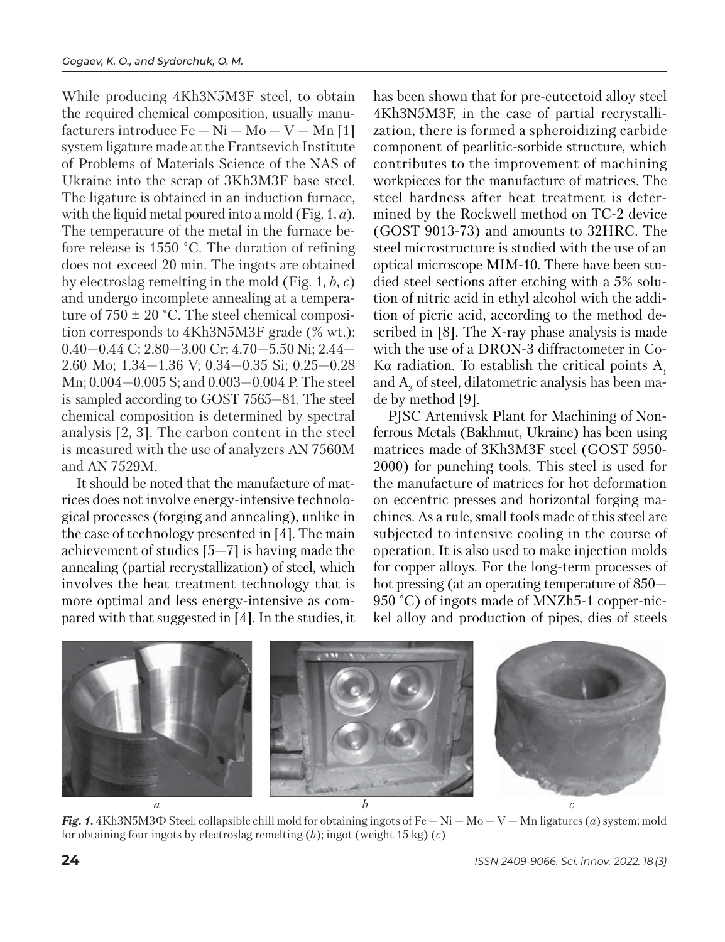While producing 4Kh3N5M3F steel, to obtain the required chemical composition, usually manufacturers introduce  $Fe - Ni - Mo - V - Mn$  [1] system ligature made at the Frantsevich Institute of Problems of Materials Science of the NAS of Ukraine into the scrap of 3Kh3M3F base steel. The ligature is obtained in an induction furnace, with the liquid metal poured into a mold (Fig. 1, *a*). The temperature of the metal in the furnace before release is 1550 °C. The duration of refining does not exceed 20 min. The ingots are obtained by electroslag remelting in the mold (Fig. 1, *b*, *c*) and undergo incomplete annealing at a temperature of  $750 \pm 20$  °C. The steel chemical composition corresponds to 4Kh3N5М3F grade (% wt.): 0.40—0.44 С; 2.80—3.00 Cr; 4.70—5.50 Ni; 2.44— 2.60 Mo; 1.34—1.36 V; 0.34—0.35 Si; 0.25—0.28 Mn; 0.004—0.005 S; and 0.003—0.004 P. The steel is sampled according to GOST 7565—81. The steel chemical composition is determined by spectral analysis [2, 3]. The carbon content in the steel is measured with the use of analyzers AN 7560M and AN 7529M.

It should be noted that the manufacture of matrices does not involve energy-intensive technological processes (forging and annealing), unlike in the case of technology presented in [4]. The main achievement of studies [5—7] is having made the annealing (partial recrystallization) of steel, which involves the heat treatment technology that is more optimal and less energy-intensive as compared with that suggested in [4]. In the studies, it

has been shown that for pre-eutectoid alloy steel 4Kh3N5М3F, in the case of partial recrystallization, there is formed a spheroidizing carbide com ponent of pearlitic-sorbide structure, which contributes to the improvement of machining workpieces for the manufacture of matrices. The steel hardness after heat treatment is determined by the Rockwell method on TC-2 device (GOST 9013-73) and amounts to 32HRC. The steel microstructure is studied with the use of an optical microscope MIM-10. There have been studied steel sections after etching with a 5% solution of nitric acid in ethyl alcohol with the addition of picric acid, according to the method described in [8]. The X-ray phase analysis is made with the use of a DRON-3 diffractometer in Co-Kα radiation. To establish the critical points  $A_1$ and  $A_3$  of steel, dilatometric analysis has been made by method [9].

PJSC Artemivsk Plant for Machining of Nonferrous Metals (Bakhmut, Ukraine) has been using matrices made of 3Kh3M3F steel (GOST 5950- 2000) for punching tools. This steel is used for the manufacture of matrices for hot deformation on eccentric presses and horizontal forging machines. As a rule, small tools made of this steel are subjected to intensive cooling in the course of operation. It is also used to make injection molds for copper alloys. For the long-term processes of hot pressing (at an operating temperature of 850— 950 °С) of ingots made of MNZh5-1 copper-nickel alloy and production of pipes, dies of steels



*Fig. 1.* 4Kh3N5M3 $\Phi$  Steel: collapsible chill mold for obtaining ingots of Fe  $-Ni-Mo-V-Mn$  ligatures (*a*) system; mold for obtaining four ingots by electroslag remelting (*b*); ingot (weight 15 kg) (*c*)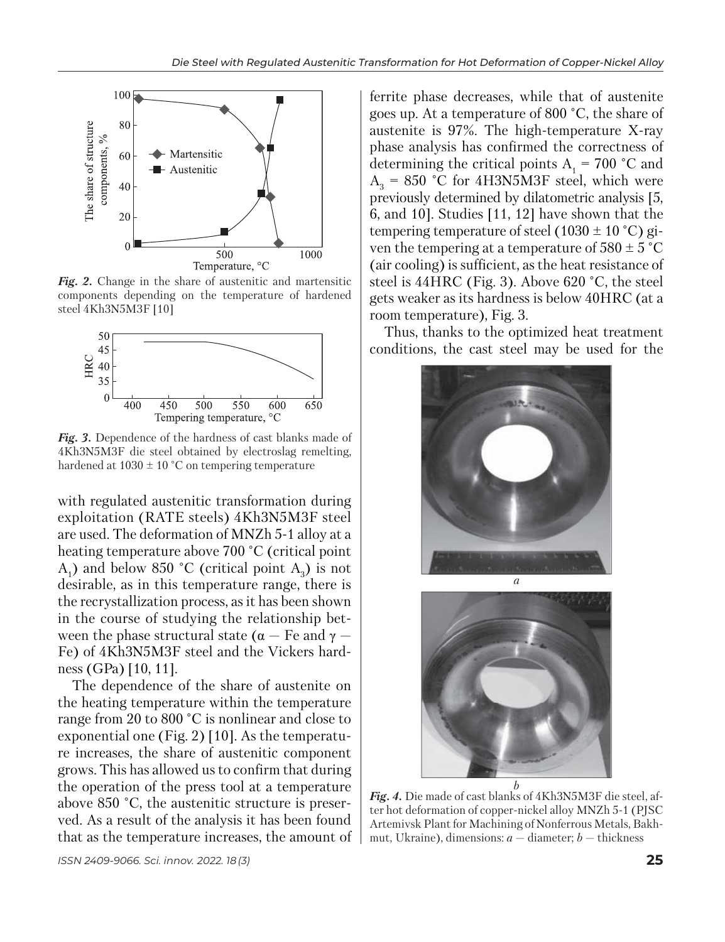

*Fig. 2.* Change in the share of austenitic and martensitic components depending on the temperature of hardened steel 4Kh3N5M3F [10]



*Fig. 3.* Dependence of the hardness of cast blanks made of 4Kh3N5М3F die steel obtained by electroslag remelting, hardened at  $1030 \pm 10$  °C on tempering temperature

with regulated austenitic transformation during exploitation (RATE steels) 4Kh3N5М3F steel are used. The deformation of MNZh 5-1 alloy at a heating temperature above 700 °C (critical point  $A_1$ ) and below 850 °C (critical point  $A_3$ ) is not desirable, as in this temperature range, there is the recrystallization process, as it has been shown in the course of studying the relationship between the phase structural state ( $\alpha$  – Fe and  $\gamma$  – Fe) of 4Kh3N5М3F steel and the Vickers hardness (GPa) [10, 11].

The dependence of the share of austenite on the heating temperature within the temperature range from 20 to 800 °C is nonlinear and close to exponential one (Fig. 2) [10]. As the temperature increases, the share of austenitic component grows. This has allowed us to confirm that during the operation of the press tool at a temperature above 850 °C, the austenitic structure is preserved. As a result of the analysis it has been found that as the temperature increases, the amount of ferrite phase decreases, while that of austenite goes up. At a temperature of 800 °C, the share of austenite is 97%. The high-temperature X-ray phase analysis has confirmed the correctness of determining the critical points  $A_1 = 700$  °C and  $A_3 = 850$  °C for 4H3N5M3F steel, which were previously determined by dilatometric analysis [5, 6, and 10]. Studies [11, 12] have shown that the tempering temperature of steel (1030  $\pm$  10 °C) given the tempering at a temperature of  $580 \pm 5$  °C (air cooling) is sufficient, as the heat resistance of steel is 44HRC (Fig. 3). Above 620 °C, the steel gets weaker as its hardness is below 40HRC (at a room temperature), Fig. 3.

Thus, thanks to the optimized heat treatment conditions, the cast steel may be used for the





*Fig. 4.* Die made of cast blanks of 4Kh3N5М3F die steel, after hot deformation of copper-nickel alloy MNZh 5-1 (PJSC Artemivsk Plant for Machining of Nonferrous Metals, Bakhmut, Ukraine), dimensions: *a* — diameter; *b* — thickness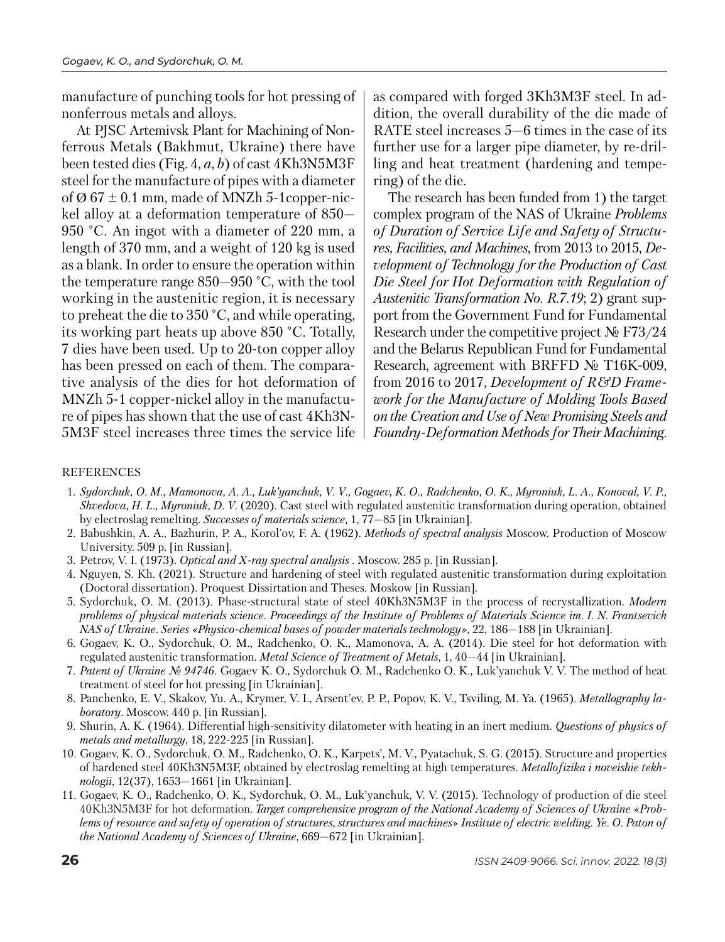manufacture of punching tools for hot pressing of nonferrous metals and alloys.

At PJSC Artemivsk Plant for Machining of Nonferrous Metals (Bakhmut, Ukraine) there ha ve been tested dies (Fig. 4, *a*, *b*) of cast 4Kh3N5M3F steel for the manufacture of pipes with a diameter of  $\varnothing$  67  $\pm$  0.1 mm, made of MNZh 5-1copper-nickel alloy at a deformation temperature of 850— 950 °C. An ingot with a diameter of 220 mm, a length of 370 mm, and a weight of 120 kg is used as a blank. In order to ensure the operation within the temperature range 850—950 °C, with the tool working in the austenitic region, it is necessary to preheat the die to 350 °C, and while operating, its working part heats up above 850 °C. Totally, 7 dies have been used. Up to 20-ton copper alloy has been pressed on each of them. The comparative analysis of the dies for hot deformation of MNZh 5-1 copper-nickel alloy in the manufacture of pipes has shown that the use of cast 4Kh3N-5M3F steel increases three times the service life as compared with forged 3Kh3M3F steel. In addition, the overall durability of the die made of RATE steel increases 5—6 times in the case of its further use for a larger pipe diameter, by re-drilling and heat treatment (hardening and tempering) of the die.

The research has been funded from 1) the target complex program of the NAS of Ukraine *Problems of Duration of Service Life and Safety of Structures, Facilities, and Machines,* from 2013 to 2015, *Development of Technology for the Production of Cast Die Steel for Hot Deformation with Regulation of Austenitic Transformation No. R.7.19*; 2) grant support from the Government Fund for Fundamental Research under the competitive project № F73/24 and the Belarus Republican Fund for Fundamental Research, agreement with BRFFD № T16K-009, from 2016 to 2017, *Development of R&D Framework for the Manufacture of Molding Tools Based on the Creation and Use of New Promising Steels and Foundry-Deformation Methods for Their Machining*.

## REFERENCES

- 1. *Sydorchuk, O. M., Mamonova, A. A., Luk'yanchuk, V. V., Gogaev, K. O., Radchenko, O. K., Myroniuk, L. A., Konoval, V. P., Shvedova, H. L., Myroniuk, D. V.* (2020). Cast steel with regulated austenitic transformation during operation, obtained by electroslag remelting. *Successes of materials science,* 1, 77—85 [in Ukrainian].
- 2. Babushkin, A. A., Bazhurin, P. A., Korol'ov, F. A. (1962). *Methods of spectral analysis* Moscow. Production of Moscow University. 509 p. [in Russian].
- 3. Petrov, V. I. (1973). *Optical and X-ray spectral analysis* . Moscow. 285 p. [in Russian].
- 4. Nguyen, S. Kh. (2021). Structure and hardening of steel with regulated austenitic transformation during exploitation (Doctoral dissertation). Proquest Dissirtation and Theses. Moskow [in Russian].
- 5. Sydorchuk, O. M. (2013). Phase-structural state of steel 40Kh3N5М3F in the process of recrystallization. *Modern problems of physical materials science. Proceedings of the Institute of Problems of Materials Science im. I. N. Frantsevich NAS of Ukraine. Series «Physico-chemical bases of powder materials technology»*, 22, 186—188 [in Ukrainian].
- 6. Gogaev, K. O., Sydorchuk, O. M., Radchenko, O. K., Mamonova, А. А. (2014). Die steel for hot deformation with regulated austenitic transformation. *Metal Science of Treatment of Metals*, 1, 40—44 [in Ukrainian].
- 7. *Patent of Ukraine № 94746.* Gogaev K. O., Sydorchuk O. M., Radchenko O. K., Luk'yanchuk V. V. The method of heat treatment of steel for hot pressing [in Ukrainian].
- 8. Panchenko, E. V., Skakov, Yu. A., Krymer, V. I., Arsent'ev, P. P., Popov, K. V., Tsviling, M. Ya. (1965). *Metallography laboratory*. Moscow. 440 p. [in Russian].
- 9. Shurin, A. K. (1964). Differential high-sensitivity dilatometer with heating in an inert medium. *Questions of physics of metals and metallurgy*, 18, 222-225 [in Russian].
- 10. Gogaev, K. O., Sydorchuk, O. M., Radchenko, O. K., Karpets', M. V., Pyatachuk, S. G. (2015). Structure and properties of hardened steel 40Kh3N5М3F, obtained by electroslag remelting at high temperatures. *Metallofizika i noveishie tekhnologii*, 12(37), 1653—1661 [in Ukrainian].
- 11. Gogaev, K. O., Radchenko, O. K., Sydorchuk, O. M., Luk'yanchuk, V. V. (2015). Technology of production of die steel 40Kh3N5М3F for hot deformation. *Target comprehensive program of the National Academy of Sciences of Ukraine* «*Problems of resource and safety of operation of structures, structures and machines*» *Institute of electric welding. Ye. О. Paton of the National Academy of Sciences of Ukraine*, 669—672 [in Ukrainian].